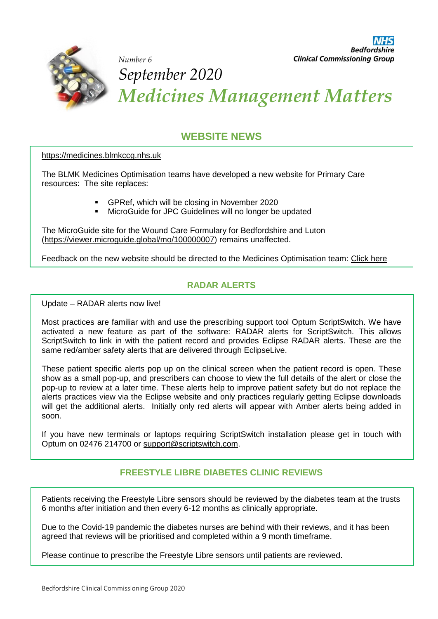

*September 2020 Medicines Management Matters* 

# **WEBSITE NEWS**

[https://medicines.blmkccg.nhs.uk](https://medicines.blmkccg.nhs.uk/)

*Number 6* 

The BLMK Medicines Optimisation teams have developed a new website for Primary Care resources: The site replaces:

- GPRef, which will be closing in November 2020
- **MicroGuide for JPC Guidelines will no longer be updated**

The MicroGuide site for the Wound Care Formulary for Bedfordshire and Luton [\(https://viewer.microguide.global/mo/100000007\)](https://viewer.microguide.global/mo/100000007) remains unaffected.

Feedback on the new website should be directed to the Medicines Optimisation team: [Click here](mailto:bedccg.bedsmeds@nhs.net)

### **RADAR ALERTS**

Update – RADAR alerts now live!

Most practices are familiar with and use the prescribing support tool Optum ScriptSwitch. We have activated a new feature as part of the software: RADAR alerts for ScriptSwitch. This allows ScriptSwitch to link in with the patient record and provides Eclipse RADAR alerts. These are the same red/amber safety alerts that are delivered through EclipseLive.

These patient specific alerts pop up on the clinical screen when the patient record is open. These show as a small pop-up, and prescribers can choose to view the full details of the alert or close the pop-up to review at a later time. These alerts help to improve patient safety but do not replace the alerts practices view via the Eclipse website and only practices regularly getting Eclipse downloads will get the additional alerts. Initially only red alerts will appear with Amber alerts being added in soon.

If you have new terminals or laptops requiring ScriptSwitch installation please get in touch with Optum on 02476 214700 or [support@scriptswitch.com.](mailto:support@scriptswitch.com)

## **FREESTYLE LIBRE DIABETES CLINIC REVIEWS**

Patients receiving the Freestyle Libre sensors should be reviewed by the diabetes team at the trusts 6 months after initiation and then every 6-12 months as clinically appropriate.

Due to the Covid-19 pandemic the diabetes nurses are behind with their reviews, and it has been agreed that reviews will be prioritised and completed within a 9 month timeframe.

Please continue to prescribe the Freestyle Libre sensors until patients are reviewed.